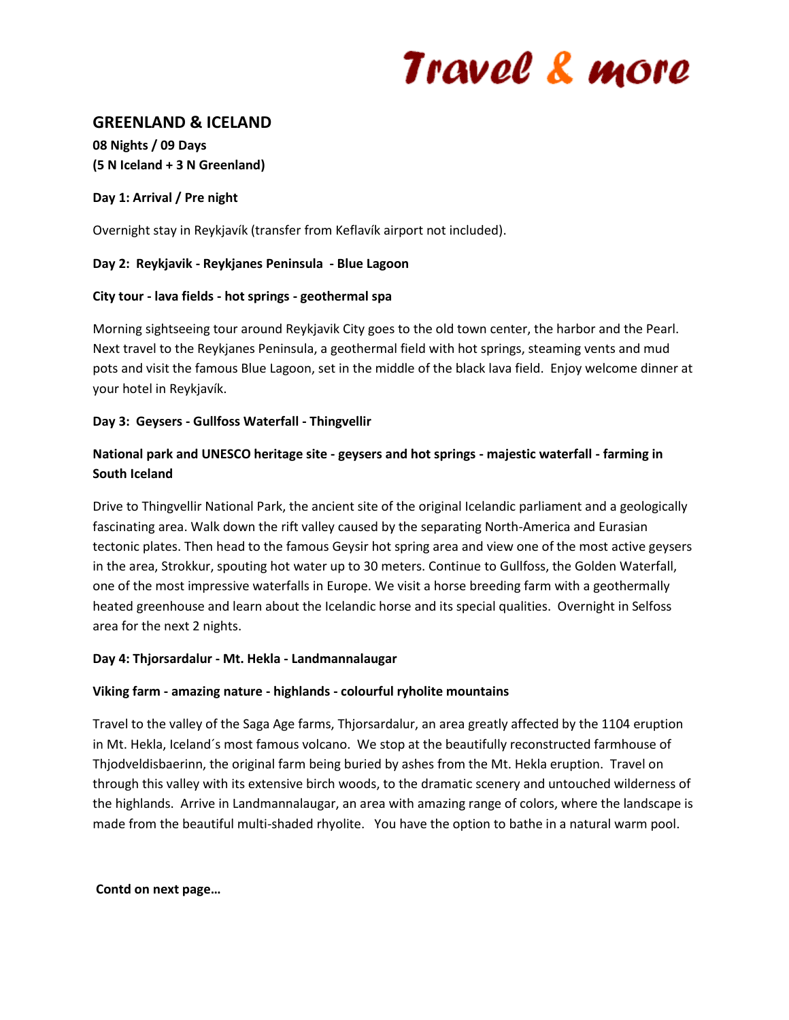# Travel & more

# **GREENLAND & ICELAND**

**08 Nights / 09 Days (5 N Iceland + 3 N Greenland)**

# **Day 1: Arrival / Pre night**

Overnight stay in Reykjavík (transfer from Keflavík airport not included).

# **Day 2: Reykjavik - Reykjanes Peninsula - Blue Lagoon**

# **City tour - lava fields - hot springs - geothermal spa**

Morning sightseeing tour around Reykjavik City goes to the old town center, the harbor and the Pearl. Next travel to the Reykjanes Peninsula, a geothermal field with hot springs, steaming vents and mud pots and visit the famous Blue Lagoon, set in the middle of the black lava field. Enjoy welcome dinner at your hotel in Reykjavík.

# **Day 3: Geysers - Gullfoss Waterfall - Thingvellir**

# **National park and UNESCO heritage site - geysers and hot springs - majestic waterfall - farming in South Iceland**

Drive to Thingvellir National Park, the ancient site of the original Icelandic parliament and a geologically fascinating area. Walk down the rift valley caused by the separating North-America and Eurasian tectonic plates. Then head to the famous Geysir hot spring area and view one of the most active geysers in the area, Strokkur, spouting hot water up to 30 meters. Continue to Gullfoss, the Golden Waterfall, one of the most impressive waterfalls in Europe. We visit a horse breeding farm with a geothermally heated greenhouse and learn about the Icelandic horse and its special qualities. Overnight in Selfoss area for the next 2 nights.

## **Day 4: Thjorsardalur - Mt. Hekla - Landmannalaugar**

## **Viking farm - amazing nature - highlands - colourful ryholite mountains**

Travel to the valley of the Saga Age farms, Thjorsardalur, an area greatly affected by the 1104 eruption in Mt. Hekla, Iceland´s most famous volcano. We stop at the beautifully reconstructed farmhouse of Thjodveldisbaerinn, the original farm being buried by ashes from the Mt. Hekla eruption. Travel on through this valley with its extensive birch woods, to the dramatic scenery and untouched wilderness of the highlands. Arrive in Landmannalaugar, an area with amazing range of colors, where the landscape is made from the beautiful multi-shaded rhyolite. You have the option to bathe in a natural warm pool.

## **Contd on next page…**